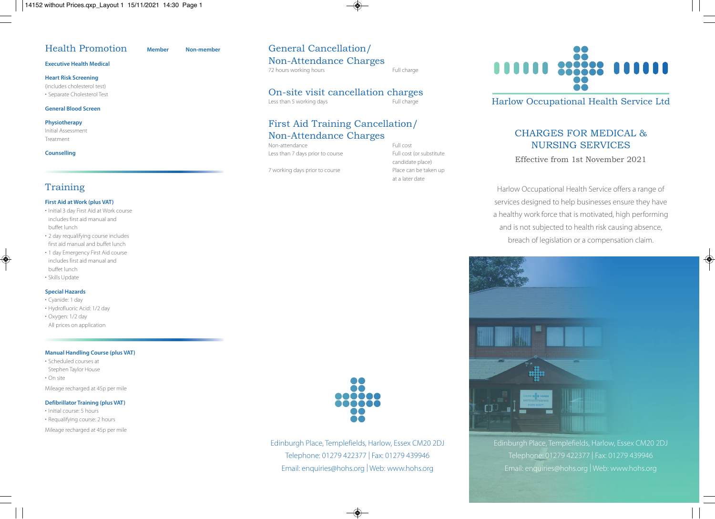# Health Promotion **Member Non-member**

### **Executive Health Medical**

**Heart Risk Screening** (includes cholesterol test)

• Separate Cholesterol Test

#### **General Blood Screen**

#### **Physiotherapy**

Initial Assessment Treatment

#### **Counselling**

# Training

#### **First Aid at Work (plus VAT)**

- Initial 3 day First Aid at Work course includes first aid manual and buffet lunch
- 2 day requalifying course includes first aid manual and buffet lunch
- 1 day Emergency First Aid course includes first aid manual and buffet lunch
- Skills Update

### **Special Hazards**

- Cyanide: 1 day
- Hydrofluoric Acid: 1/2 day
- Oxygen: 1/2 day
- All prices on application

### **Manual Handling Course (plus VAT)**

- Scheduled courses at
- Stephen Taylor House
- On site

Mileage recharged at 45p per mile

### **Defibrillator Training (plus VAT)**

- Initial course: 5 hours
- Requalifying course: 2 hours
- Mileage recharged at 45p per mile

# General Cancellation/ Non-Attendance Charges

72 hours working hours **Full charge** 

# **On-site visit cancellation charges**<br>Less than 5 working days<br>Full charge

Less than 5 working days

# First Aid Training Cancellation/ Non-Attendance Charges

Non-attendance Full cost Less than 7 days prior to course Full cost (or substitute

7 working days prior to course Place can be taken up

candidate place) at a later date



Harlow Occupational Health Service Ltd

# CHARGES FOR MEDICAL & NURSING SERVICES

Effective from 1st November 2021

Harlow Occupational Health Service offers a range of services designed to help businesses ensure they have a healthy work force that is motivated, high performing and is not subjected to health risk causing absence, breach of legislation or a compensation claim.



Edinburgh Place, Templefields, Harlow, Essex CM20 2DJ Telephone: 01279 422377 | Fax: 01279 439946 Email: enquiries@hohs.org | Web: www.hohs.org



Edinburgh Place, Templefields, Harlow, Essex CM20 2DJ Telephone: 01279 422377 | Fax: 01279 439946 Email: enquiries@hohs.org | Web: www.hohs.org